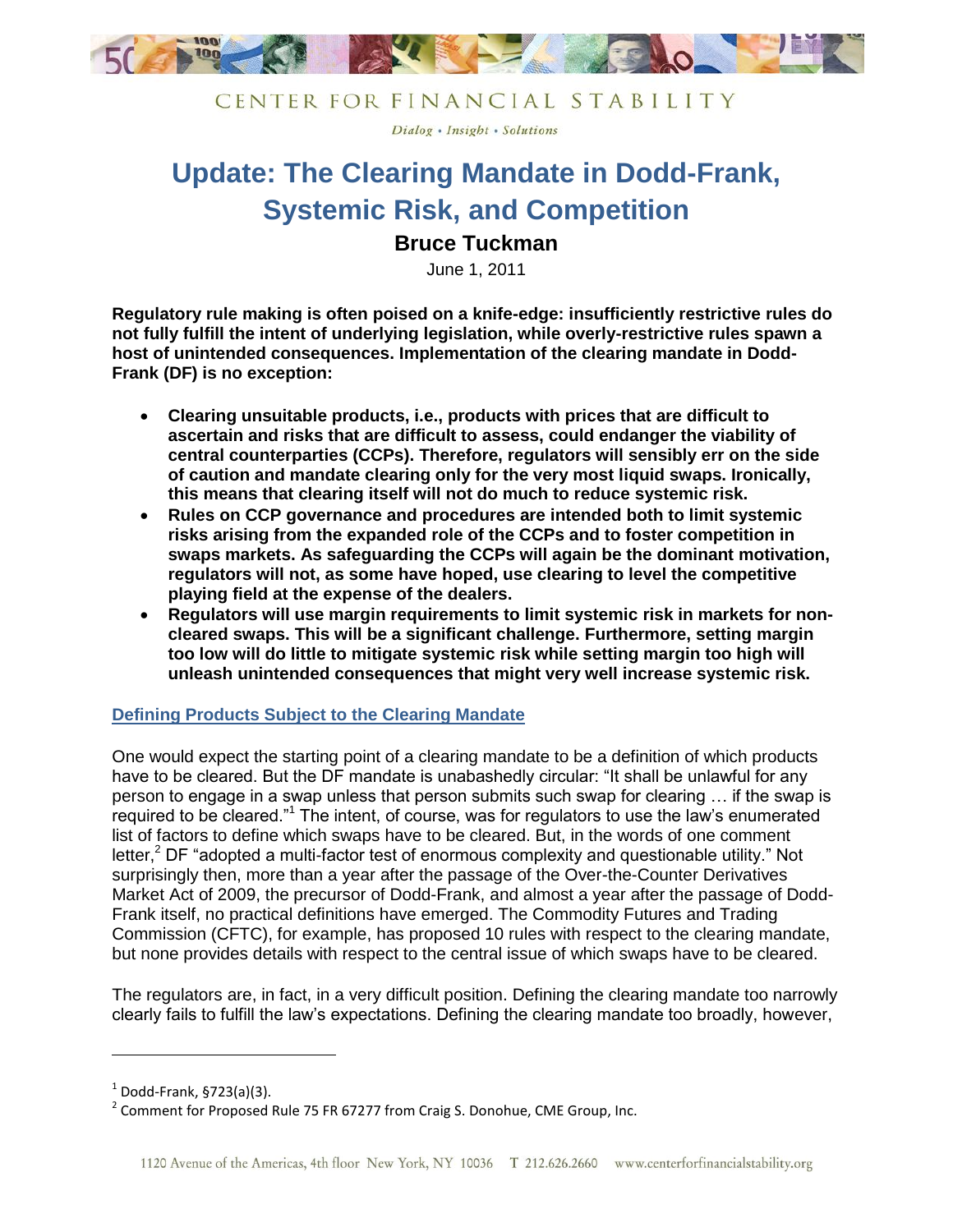

Dialog . Insight . Solutions

# **Update: The Clearing Mandate in Dodd-Frank, Systemic Risk, and Competition**

## **Bruce Tuckman**

June 1, 2011

**Regulatory rule making is often poised on a knife-edge: insufficiently restrictive rules do not fully fulfill the intent of underlying legislation, while overly-restrictive rules spawn a host of unintended consequences. Implementation of the clearing mandate in Dodd-Frank (DF) is no exception:**

- **Clearing unsuitable products, i.e., products with prices that are difficult to ascertain and risks that are difficult to assess, could endanger the viability of central counterparties (CCPs). Therefore, regulators will sensibly err on the side of caution and mandate clearing only for the very most liquid swaps. Ironically, this means that clearing itself will not do much to reduce systemic risk.**
- **Rules on CCP governance and procedures are intended both to limit systemic risks arising from the expanded role of the CCPs and to foster competition in swaps markets. As safeguarding the CCPs will again be the dominant motivation, regulators will not, as some have hoped, use clearing to level the competitive playing field at the expense of the dealers.**
- **Regulators will use margin requirements to limit systemic risk in markets for noncleared swaps. This will be a significant challenge. Furthermore, setting margin too low will do little to mitigate systemic risk while setting margin too high will unleash unintended consequences that might very well increase systemic risk.**

### **Defining Products Subject to the Clearing Mandate**

One would expect the starting point of a clearing mandate to be a definition of which products have to be cleared. But the DF mandate is unabashedly circular: "It shall be unlawful for any person to engage in a swap unless that person submits such swap for clearing … if the swap is required to be cleared."<sup>1</sup> The intent, of course, was for regulators to use the law's enumerated list of factors to define which swaps have to be cleared. But, in the words of one comment letter,<sup>2</sup> DF "adopted a multi-factor test of enormous complexity and questionable utility." Not surprisingly then, more than a year after the passage of the Over-the-Counter Derivatives Market Act of 2009, the precursor of Dodd-Frank, and almost a year after the passage of Dodd-Frank itself, no practical definitions have emerged. The Commodity Futures and Trading Commission (CFTC), for example, has proposed 10 rules with respect to the clearing mandate, but none provides details with respect to the central issue of which swaps have to be cleared.

The regulators are, in fact, in a very difficult position. Defining the clearing mandate too narrowly clearly fails to fulfill the law's expectations. Defining the clearing mandate too broadly, however,

 $\overline{\phantom{a}}$ 

 $^1$  Dodd-Frank, §723(a)(3).

 $^2$  Comment for Proposed Rule 75 FR 67277 from Craig S. Donohue, CME Group, Inc.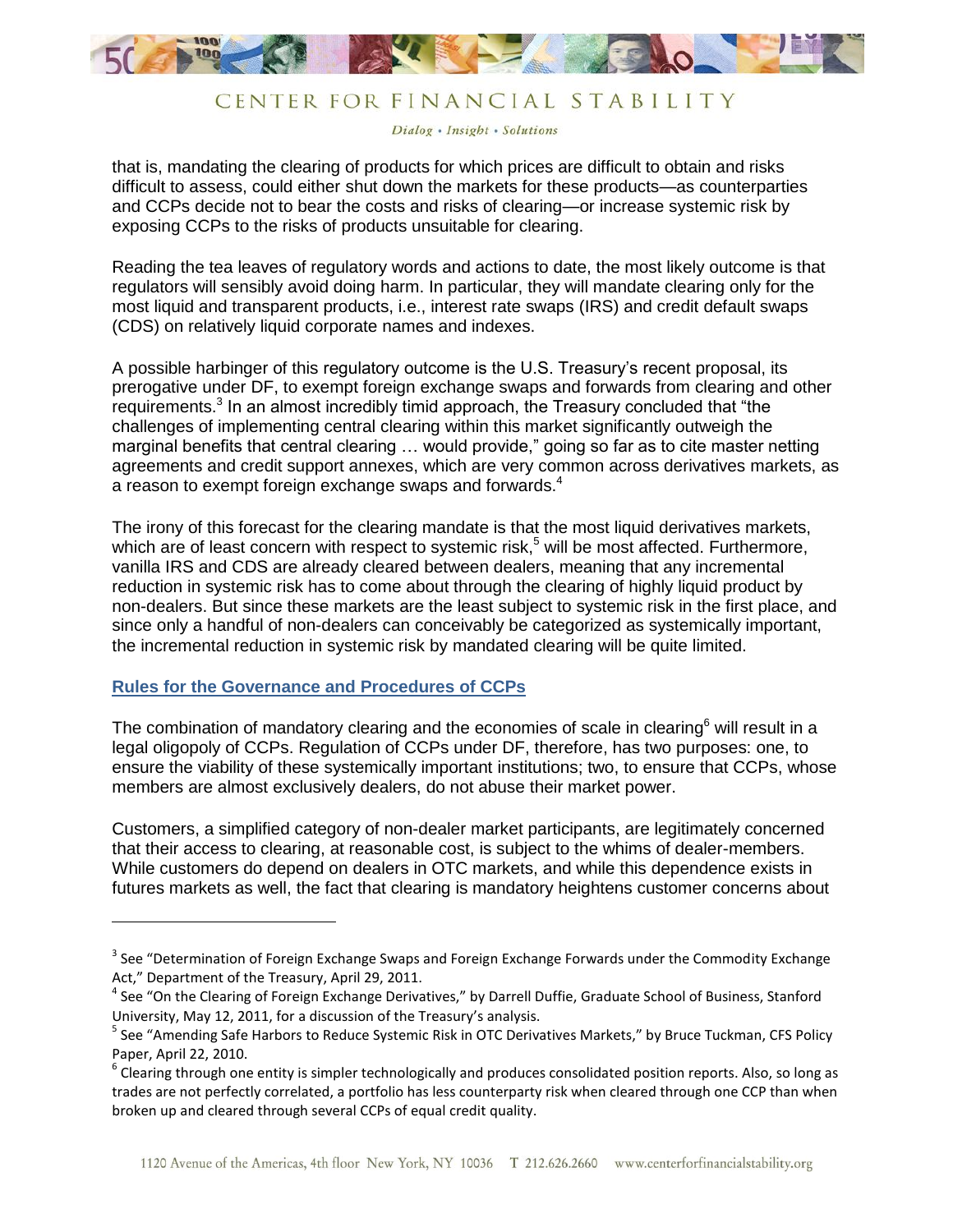

Dialog . Insight . Solutions

that is, mandating the clearing of products for which prices are difficult to obtain and risks difficult to assess, could either shut down the markets for these products—as counterparties and CCPs decide not to bear the costs and risks of clearing—or increase systemic risk by exposing CCPs to the risks of products unsuitable for clearing.

Reading the tea leaves of regulatory words and actions to date, the most likely outcome is that regulators will sensibly avoid doing harm. In particular, they will mandate clearing only for the most liquid and transparent products, i.e., interest rate swaps (IRS) and credit default swaps (CDS) on relatively liquid corporate names and indexes.

A possible harbinger of this regulatory outcome is the U.S. Treasury's recent proposal, its prerogative under DF, to exempt foreign exchange swaps and forwards from clearing and other requirements.<sup>3</sup> In an almost incredibly timid approach, the Treasury concluded that "the challenges of implementing central clearing within this market significantly outweigh the marginal benefits that central clearing … would provide," going so far as to cite master netting agreements and credit support annexes, which are very common across derivatives markets, as a reason to exempt foreign exchange swaps and forwards. 4

The irony of this forecast for the clearing mandate is that the most liquid derivatives markets, which are of least concern with respect to systemic risk,<sup>5</sup> will be most affected. Furthermore, vanilla IRS and CDS are already cleared between dealers, meaning that any incremental reduction in systemic risk has to come about through the clearing of highly liquid product by non-dealers. But since these markets are the least subject to systemic risk in the first place, and since only a handful of non-dealers can conceivably be categorized as systemically important, the incremental reduction in systemic risk by mandated clearing will be quite limited.

#### **Rules for the Governance and Procedures of CCPs**

 $\overline{\phantom{a}}$ 

The combination of mandatory clearing and the economies of scale in clearing<sup>6</sup> will result in a legal oligopoly of CCPs. Regulation of CCPs under DF, therefore, has two purposes: one, to ensure the viability of these systemically important institutions; two, to ensure that CCPs, whose members are almost exclusively dealers, do not abuse their market power.

Customers, a simplified category of non-dealer market participants, are legitimately concerned that their access to clearing, at reasonable cost, is subject to the whims of dealer-members. While customers do depend on dealers in OTC markets, and while this dependence exists in futures markets as well, the fact that clearing is mandatory heightens customer concerns about

 $3$  See "Determination of Foreign Exchange Swaps and Foreign Exchange Forwards under the Commodity Exchange Act," Department of the Treasury, April 29, 2011.

<sup>&</sup>lt;sup>4</sup> See "On the Clearing of Foreign Exchange Derivatives," by Darrell Duffie, Graduate School of Business, Stanford University, May 12, 2011, for a discussion of the Treasury's analysis.

<sup>&</sup>lt;sup>5</sup> See "Amending Safe Harbors to Reduce Systemic Risk in OTC Derivatives Markets," by Bruce Tuckman, CFS Policy Paper, April 22, 2010.

 $^6$  Clearing through one entity is simpler technologically and produces consolidated position reports. Also, so long as trades are not perfectly correlated, a portfolio has less counterparty risk when cleared through one CCP than when broken up and cleared through several CCPs of equal credit quality.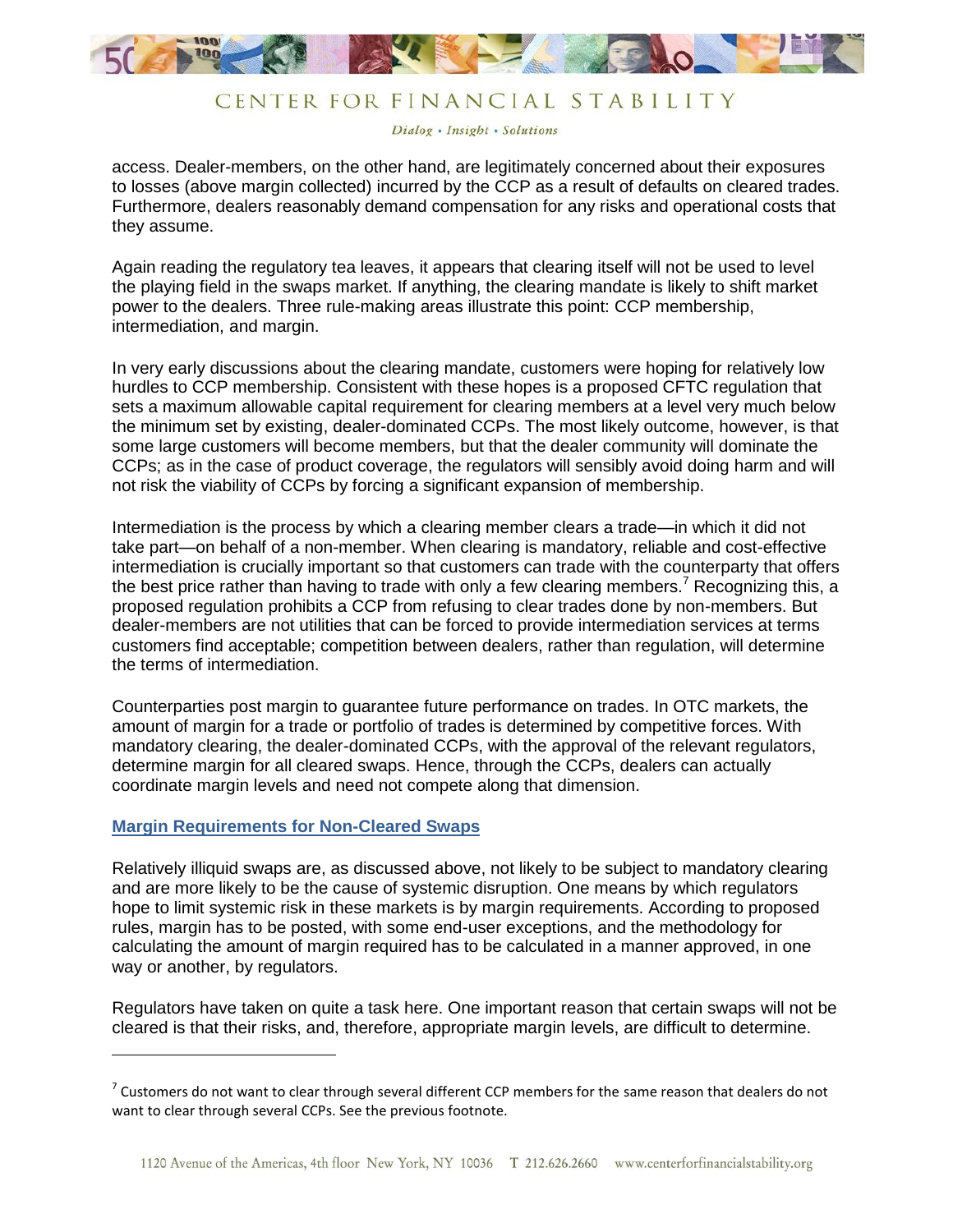

Dialog . Insight . Solutions

access. Dealer-members, on the other hand, are legitimately concerned about their exposures to losses (above margin collected) incurred by the CCP as a result of defaults on cleared trades. Furthermore, dealers reasonably demand compensation for any risks and operational costs that they assume.

Again reading the regulatory tea leaves, it appears that clearing itself will not be used to level the playing field in the swaps market. If anything, the clearing mandate is likely to shift market power to the dealers. Three rule-making areas illustrate this point: CCP membership, intermediation, and margin.

In very early discussions about the clearing mandate, customers were hoping for relatively low hurdles to CCP membership. Consistent with these hopes is a proposed CFTC regulation that sets a maximum allowable capital requirement for clearing members at a level very much below the minimum set by existing, dealer-dominated CCPs. The most likely outcome, however, is that some large customers will become members, but that the dealer community will dominate the CCPs; as in the case of product coverage, the regulators will sensibly avoid doing harm and will not risk the viability of CCPs by forcing a significant expansion of membership.

Intermediation is the process by which a clearing member clears a trade—in which it did not take part—on behalf of a non-member. When clearing is mandatory, reliable and cost-effective intermediation is crucially important so that customers can trade with the counterparty that offers the best price rather than having to trade with only a few clearing members.<sup>7</sup> Recognizing this, a proposed regulation prohibits a CCP from refusing to clear trades done by non-members. But dealer-members are not utilities that can be forced to provide intermediation services at terms customers find acceptable; competition between dealers, rather than regulation, will determine the terms of intermediation.

Counterparties post margin to guarantee future performance on trades. In OTC markets, the amount of margin for a trade or portfolio of trades is determined by competitive forces. With mandatory clearing, the dealer-dominated CCPs, with the approval of the relevant regulators, determine margin for all cleared swaps. Hence, through the CCPs, dealers can actually coordinate margin levels and need not compete along that dimension.

#### **Margin Requirements for Non-Cleared Swaps**

 $\overline{\phantom{a}}$ 

Relatively illiquid swaps are, as discussed above, not likely to be subject to mandatory clearing and are more likely to be the cause of systemic disruption. One means by which regulators hope to limit systemic risk in these markets is by margin requirements. According to proposed rules, margin has to be posted, with some end-user exceptions, and the methodology for calculating the amount of margin required has to be calculated in a manner approved, in one way or another, by regulators.

Regulators have taken on quite a task here. One important reason that certain swaps will not be cleared is that their risks, and, therefore, appropriate margin levels, are difficult to determine.

 $^7$  Customers do not want to clear through several different CCP members for the same reason that dealers do not want to clear through several CCPs. See the previous footnote.